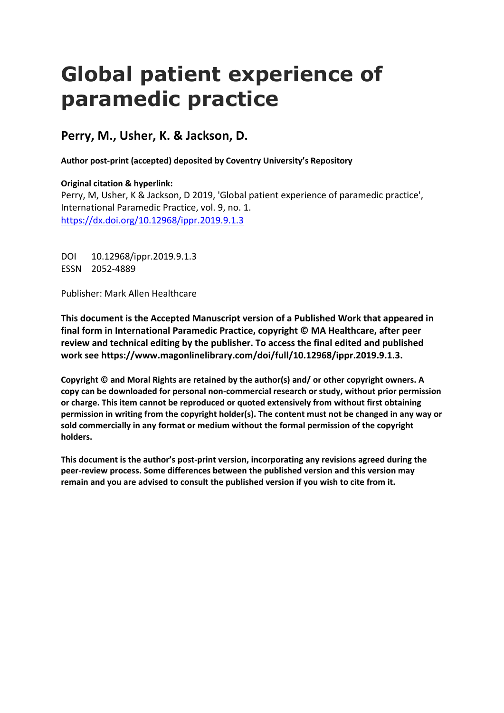# **Global patient experience of paramedic practice**

**Perry, M., Usher, K. & Jackson, D.**

**Author post-print (accepted) deposited by Coventry University's Repository**

**Original citation & hyperlink:** Perry, M, Usher, K & Jackson, D 2019, 'Global patient experience of paramedic practice', International Paramedic Practice, vol. 9, no. 1. <https://dx.doi.org/10.12968/ippr.2019.9.1.3>

DOI 10.12968/ippr.2019.9.1.3 ESSN 2052-4889

Publisher: Mark Allen Healthcare

**This document is the Accepted Manuscript version of a Published Work that appeared in final form in International Paramedic Practice, copyright © MA Healthcare, after peer review and technical editing by the publisher. To access the final edited and published work see https://www.magonlinelibrary.com/doi/full/10.12968/ippr.2019.9.1.3.**

**Copyright © and Moral Rights are retained by the author(s) and/ or other copyright owners. A copy can be downloaded for personal non-commercial research or study, without prior permission or charge. This item cannot be reproduced or quoted extensively from without first obtaining permission in writing from the copyright holder(s). The content must not be changed in any way or sold commercially in any format or medium without the formal permission of the copyright holders.** 

**This document is the author's post-print version, incorporating any revisions agreed during the peer-review process. Some differences between the published version and this version may remain and you are advised to consult the published version if you wish to cite from it.**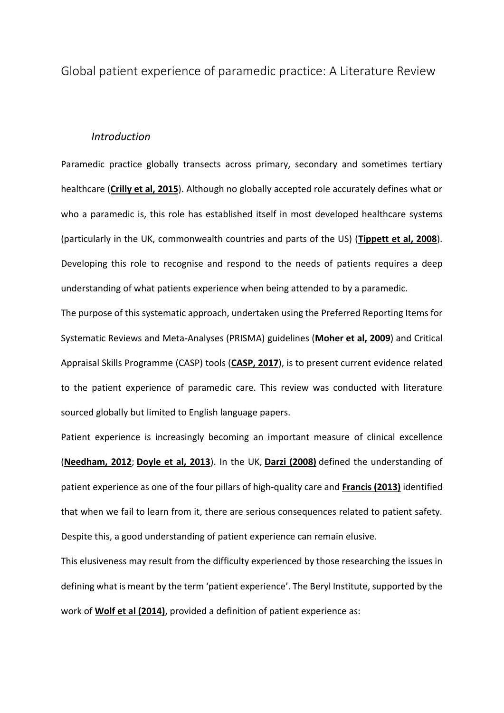Global patient experience of paramedic practice: A Literature Review

### *Introduction*

Paramedic practice globally transects across primary, secondary and sometimes tertiary healthcare (**[Crilly et al, 2015](https://www.magonlinelibrary.com/doi/full/10.12968/ippr.2019.9.1.3#B4)**). Although no globally accepted role accurately defines what or who a paramedic is, this role has established itself in most developed healthcare systems (particularly in the UK, commonwealth countries and parts of the US) (**[Tippett et al, 2008](https://www.magonlinelibrary.com/doi/full/10.12968/ippr.2019.9.1.3#B27)**). Developing this role to recognise and respond to the needs of patients requires a deep understanding of what patients experience when being attended to by a paramedic.

The purpose of this systematic approach, undertaken using the Preferred Reporting Items for Systematic Reviews and Meta-Analyses (PRISMA) guidelines (**[Moher et al, 2009](https://www.magonlinelibrary.com/doi/full/10.12968/ippr.2019.9.1.3#B15)**) and Critical Appraisal Skills Programme (CASP) tools (**[CASP, 2017](https://www.magonlinelibrary.com/doi/full/10.12968/ippr.2019.9.1.3#B3)**), is to present current evidence related to the patient experience of paramedic care. This review was conducted with literature sourced globally but limited to English language papers.

Patient experience is increasingly becoming an important measure of clinical excellence (**[Needham, 2012](https://www.magonlinelibrary.com/doi/full/10.12968/ippr.2019.9.1.3#B16)**; **[Doyle et al, 2013](https://www.magonlinelibrary.com/doi/full/10.12968/ippr.2019.9.1.3#B6)**). In the UK, **[Darzi \(2008\)](https://www.magonlinelibrary.com/doi/full/10.12968/ippr.2019.9.1.3#B5)** defined the understanding of patient experience as one of the four pillars of high-quality care and **[Francis \(2013\)](https://www.magonlinelibrary.com/doi/full/10.12968/ippr.2019.9.1.3#B7)** identified that when we fail to learn from it, there are serious consequences related to patient safety. Despite this, a good understanding of patient experience can remain elusive.

This elusiveness may result from the difficulty experienced by those researching the issues in defining what is meant by the term 'patient experience'. The Beryl Institute, supported by the work of **[Wolf et al \(2014\)](https://www.magonlinelibrary.com/doi/full/10.12968/ippr.2019.9.1.3#B28)**, provided a definition of patient experience as: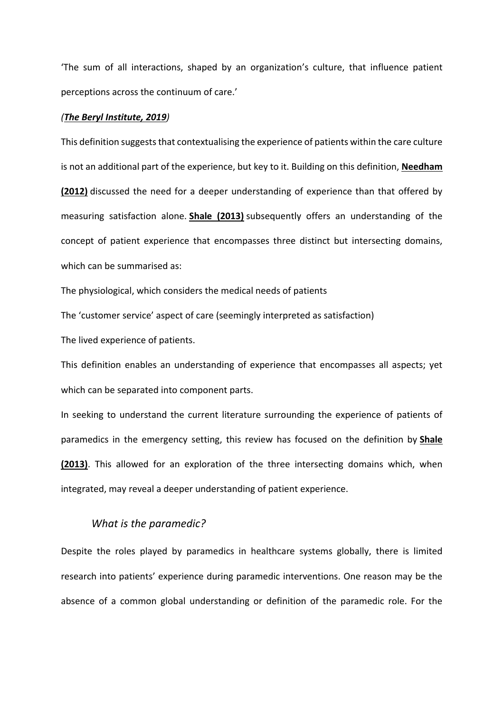'The sum of all interactions, shaped by an organization's culture, that influence patient perceptions across the continuum of care.'

#### *([The Beryl Institute, 2019](https://www.magonlinelibrary.com/doi/full/10.12968/ippr.2019.9.1.3#B26))*

This definition suggests that contextualising the experience of patients within the care culture is not an additional part of the experience, but key to it. Building on this definition, **[Needham](https://www.magonlinelibrary.com/doi/full/10.12968/ippr.2019.9.1.3#B16)  [\(2012\)](https://www.magonlinelibrary.com/doi/full/10.12968/ippr.2019.9.1.3#B16)** discussed the need for a deeper understanding of experience than that offered by measuring satisfaction alone. **[Shale \(2013\)](https://www.magonlinelibrary.com/doi/full/10.12968/ippr.2019.9.1.3#B23)** subsequently offers an understanding of the concept of patient experience that encompasses three distinct but intersecting domains, which can be summarised as:

The physiological, which considers the medical needs of patients

The 'customer service' aspect of care (seemingly interpreted as satisfaction)

The lived experience of patients.

This definition enables an understanding of experience that encompasses all aspects; yet which can be separated into component parts.

In seeking to understand the current literature surrounding the experience of patients of paramedics in the emergency setting, this review has focused on the definition by **[Shale](https://www.magonlinelibrary.com/doi/full/10.12968/ippr.2019.9.1.3#B23)  [\(2013\)](https://www.magonlinelibrary.com/doi/full/10.12968/ippr.2019.9.1.3#B23)**. This allowed for an exploration of the three intersecting domains which, when integrated, may reveal a deeper understanding of patient experience.

## *What is the paramedic?*

Despite the roles played by paramedics in healthcare systems globally, there is limited research into patients' experience during paramedic interventions. One reason may be the absence of a common global understanding or definition of the paramedic role. For the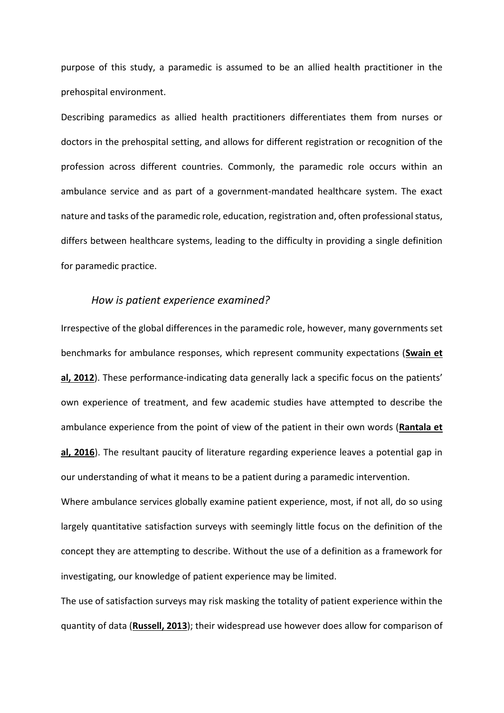purpose of this study, a paramedic is assumed to be an allied health practitioner in the prehospital environment.

Describing paramedics as allied health practitioners differentiates them from nurses or doctors in the prehospital setting, and allows for different registration or recognition of the profession across different countries. Commonly, the paramedic role occurs within an ambulance service and as part of a government-mandated healthcare system. The exact nature and tasks of the paramedic role, education, registration and, often professional status, differs between healthcare systems, leading to the difficulty in providing a single definition for paramedic practice.

# *How is patient experience examined?*

Irrespective of the global differences in the paramedic role, however, many governments set benchmarks for ambulance responses, which represent community expectations (**[Swain et](https://www.magonlinelibrary.com/doi/full/10.12968/ippr.2019.9.1.3#B25)  [al, 2012](https://www.magonlinelibrary.com/doi/full/10.12968/ippr.2019.9.1.3#B25)**). These performance-indicating data generally lack a specific focus on the patients' own experience of treatment, and few academic studies have attempted to describe the ambulance experience from the point of view of the patient in their own words (**[Rantala et](https://www.magonlinelibrary.com/doi/full/10.12968/ippr.2019.9.1.3#B20)  [al, 2016](https://www.magonlinelibrary.com/doi/full/10.12968/ippr.2019.9.1.3#B20)**). The resultant paucity of literature regarding experience leaves a potential gap in our understanding of what it means to be a patient during a paramedic intervention.

Where ambulance services globally examine patient experience, most, if not all, do so using largely quantitative satisfaction surveys with seemingly little focus on the definition of the concept they are attempting to describe. Without the use of a definition as a framework for investigating, our knowledge of patient experience may be limited.

The use of satisfaction surveys may risk masking the totality of patient experience within the quantity of data (**[Russell, 2013](https://www.magonlinelibrary.com/doi/full/10.12968/ippr.2019.9.1.3#B22)**); their widespread use however does allow for comparison of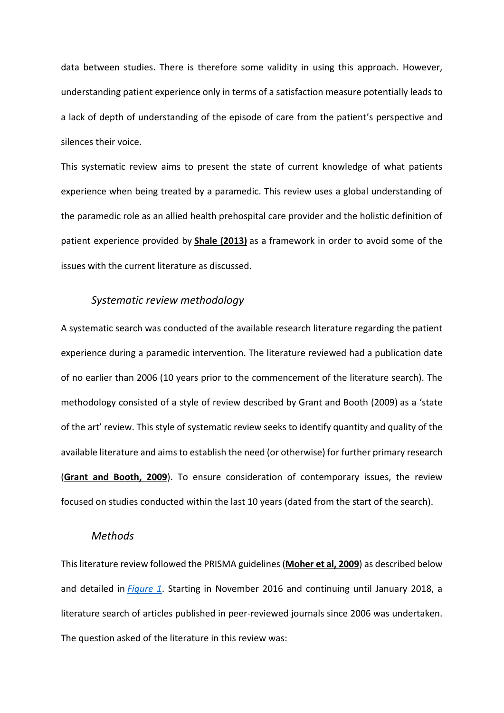data between studies. There is therefore some validity in using this approach. However, understanding patient experience only in terms of a satisfaction measure potentially leads to a lack of depth of understanding of the episode of care from the patient's perspective and silences their voice.

This systematic review aims to present the state of current knowledge of what patients experience when being treated by a paramedic. This review uses a global understanding of the paramedic role as an allied health prehospital care provider and the holistic definition of patient experience provided by **[Shale \(2013\)](https://www.magonlinelibrary.com/doi/full/10.12968/ippr.2019.9.1.3#B23)** as a framework in order to avoid some of the issues with the current literature as discussed.

## *Systematic review methodology*

A systematic search was conducted of the available research literature regarding the patient experience during a paramedic intervention. The literature reviewed had a publication date of no earlier than 2006 (10 years prior to the commencement of the literature search). The methodology consisted of a style of review described by [Grant and Booth \(2009\)](https://www.magonlinelibrary.com/doi/full/10.12968/ippr.2019.9.1.3#B8) as a 'state of the art' review. This style of systematic review seeks to identify quantity and quality of the available literature and aims to establish the need (or otherwise) for further primary research (**[Grant and Booth, 2009](https://www.magonlinelibrary.com/doi/full/10.12968/ippr.2019.9.1.3#B8)**). To ensure consideration of contemporary issues, the review focused on studies conducted within the last 10 years (dated from the start of the search).

# *Methods*

This literature review followed the PRISMA guidelines (**[Moher et al, 2009](https://www.magonlinelibrary.com/doi/full/10.12968/ippr.2019.9.1.3#B15)**) as described below and detailed in *[Figure 1](https://www.magonlinelibrary.com/doi/full/10.12968/ippr.2019.9.1.3#F1)*. Starting in November 2016 and continuing until January 2018, a literature search of articles published in peer-reviewed journals since 2006 was undertaken. The question asked of the literature in this review was: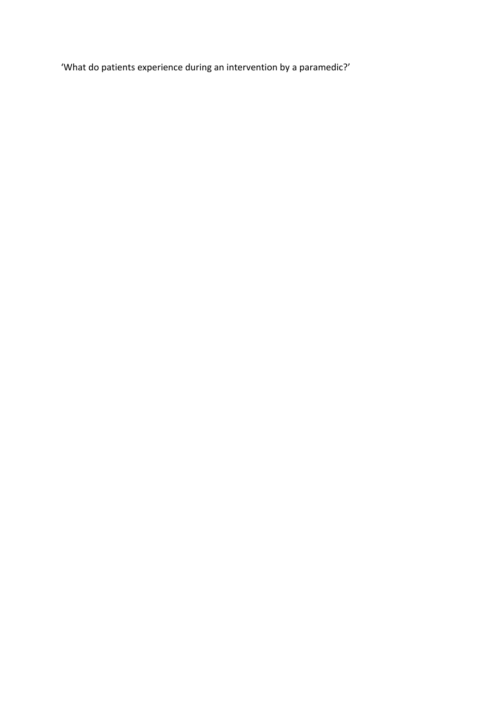'What do patients experience during an intervention by a paramedic?'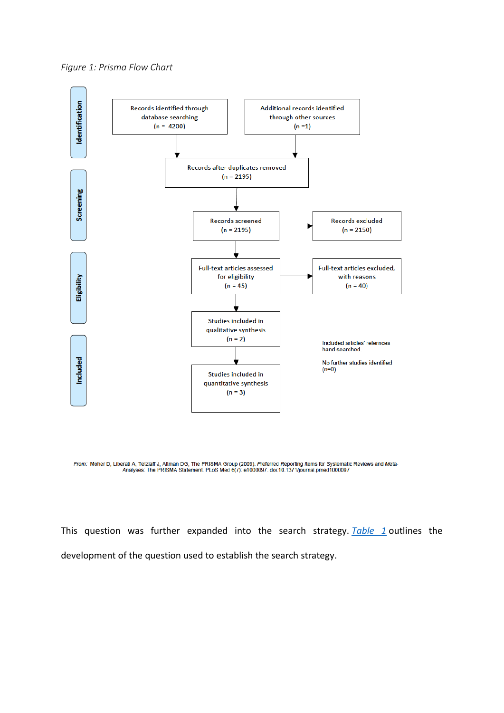



From: Moher D, Liberati A, Tetzlaff J, Altman DG, The PRISMA Group (2009). Preferred Reporting Items for Systematic Reviews and Meta-<br>Analyses: The PRISMA Statement. PLoS Med 6(7): e1000097. doi:10.1371/journal.pmed1000097

This question was further expanded into the search strategy. *[Table 1](https://www.magonlinelibrary.com/doi/full/10.12968/ippr.2019.9.1.3#T1)* outlines the development of the question used to establish the search strategy.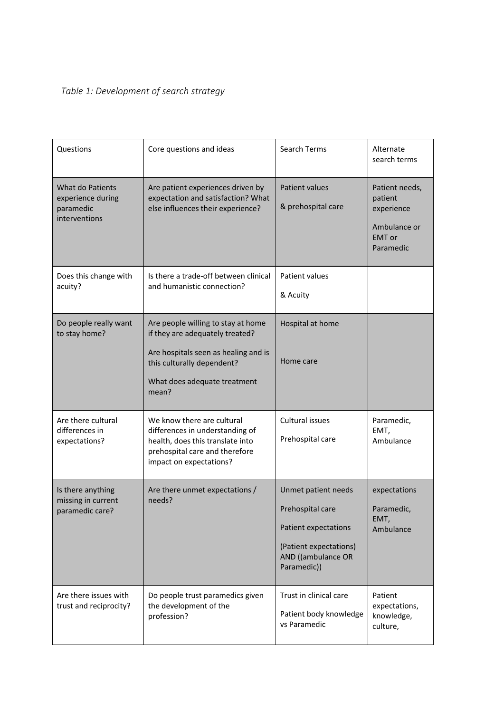# *Table 1: Development of search strategy*

| Questions                                                           | Core questions and ideas                                                                                                                                                             | Search Terms                                                                                                                   | Alternate<br>search terms                                                             |
|---------------------------------------------------------------------|--------------------------------------------------------------------------------------------------------------------------------------------------------------------------------------|--------------------------------------------------------------------------------------------------------------------------------|---------------------------------------------------------------------------------------|
| What do Patients<br>experience during<br>paramedic<br>interventions | Are patient experiences driven by<br>expectation and satisfaction? What<br>else influences their experience?                                                                         | <b>Patient values</b><br>& prehospital care                                                                                    | Patient needs,<br>patient<br>experience<br>Ambulance or<br><b>EMT</b> or<br>Paramedic |
| Does this change with<br>acuity?                                    | Is there a trade-off between clinical<br>and humanistic connection?                                                                                                                  | Patient values<br>& Acuity                                                                                                     |                                                                                       |
| Do people really want<br>to stay home?                              | Are people willing to stay at home<br>if they are adequately treated?<br>Are hospitals seen as healing and is<br>this culturally dependent?<br>What does adequate treatment<br>mean? | Hospital at home<br>Home care                                                                                                  |                                                                                       |
| Are there cultural<br>differences in<br>expectations?               | We know there are cultural<br>differences in understanding of<br>health, does this translate into<br>prehospital care and therefore<br>impact on expectations?                       | Cultural issues<br>Prehospital care                                                                                            | Paramedic,<br>EMT,<br>Ambulance                                                       |
| Is there anything<br>missing in current<br>paramedic care?          | Are there unmet expectations /<br>needs?                                                                                                                                             | Unmet patient needs<br>Prehospital care<br>Patient expectations<br>(Patient expectations)<br>AND ((ambulance OR<br>Paramedic)) | expectations<br>Paramedic,<br>EMT,<br>Ambulance                                       |
| Are there issues with<br>trust and reciprocity?                     | Do people trust paramedics given<br>the development of the<br>profession?                                                                                                            | Trust in clinical care<br>Patient body knowledge<br>vs Paramedic                                                               | Patient<br>expectations,<br>knowledge,<br>culture,                                    |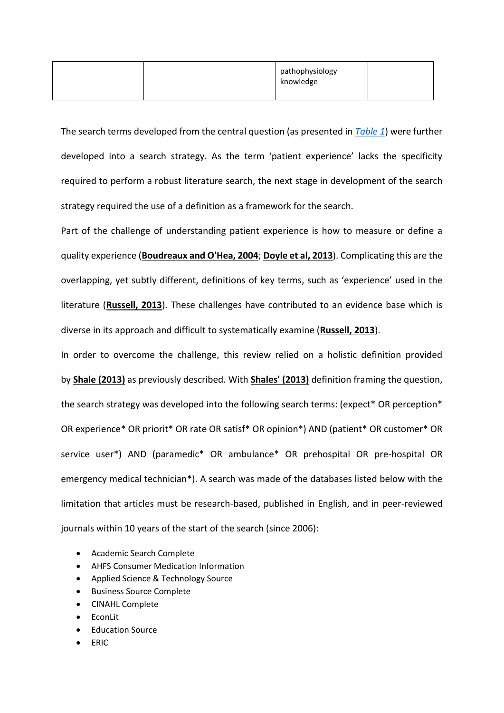|  | pathophysiology<br>knowledge |  |
|--|------------------------------|--|
|  |                              |  |

The search terms developed from the central question (as presented in *[Table 1](https://www.magonlinelibrary.com/doi/full/10.12968/ippr.2019.9.1.3#T1)*) were further developed into a search strategy. As the term 'patient experience' lacks the specificity required to perform a robust literature search, the next stage in development of the search strategy required the use of a definition as a framework for the search.

Part of the challenge of understanding patient experience is how to measure or define a quality experience (**[Boudreaux and O'Hea, 2004](https://www.magonlinelibrary.com/doi/full/10.12968/ippr.2019.9.1.3#B2)**; **[Doyle et al, 2013](https://www.magonlinelibrary.com/doi/full/10.12968/ippr.2019.9.1.3#B6)**). Complicating this are the overlapping, yet subtly different, definitions of key terms, such as 'experience' used in the literature (**[Russell, 2013](https://www.magonlinelibrary.com/doi/full/10.12968/ippr.2019.9.1.3#B22)**). These challenges have contributed to an evidence base which is diverse in its approach and difficult to systematically examine (**[Russell, 2013](https://www.magonlinelibrary.com/doi/full/10.12968/ippr.2019.9.1.3#B22)**).

In order to overcome the challenge, this review relied on a holistic definition provided by **[Shale \(2013\)](https://www.magonlinelibrary.com/doi/full/10.12968/ippr.2019.9.1.3#B23)** as previously described. With **[Shales' \(2013\)](https://www.magonlinelibrary.com/doi/full/10.12968/ippr.2019.9.1.3#B23)** definition framing the question, the search strategy was developed into the following search terms: (expect\* OR perception\* OR experience\* OR priorit\* OR rate OR satisf\* OR opinion\*) AND (patient\* OR customer\* OR service user\*) AND (paramedic\* OR ambulance\* OR prehospital OR pre-hospital OR emergency medical technician\*). A search was made of the databases listed below with the limitation that articles must be research-based, published in English, and in peer-reviewed journals within 10 years of the start of the search (since 2006):

- Academic Search Complete
- AHFS Consumer Medication Information
- Applied Science & Technology Source
- Business Source Complete
- CINAHL Complete
- EconLit
- **Education Source**
- ERIC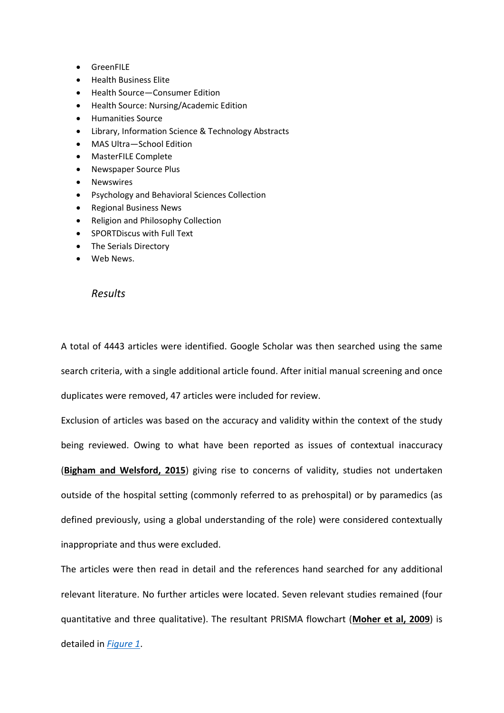- GreenFILE
- Health Business Elite
- Health Source—Consumer Edition
- Health Source: Nursing/Academic Edition
- Humanities Source
- Library, Information Science & Technology Abstracts
- MAS Ultra—School Edition
- MasterFILE Complete
- Newspaper Source Plus
- Newswires
- Psychology and Behavioral Sciences Collection
- Regional Business News
- Religion and Philosophy Collection
- SPORTDiscus with Full Text
- The Serials Directory
- Web News.

## *Results*

A total of 4443 articles were identified. Google Scholar was then searched using the same search criteria, with a single additional article found. After initial manual screening and once duplicates were removed, 47 articles were included for review.

Exclusion of articles was based on the accuracy and validity within the context of the study being reviewed. Owing to what have been reported as issues of contextual inaccuracy (**[Bigham and Welsford, 2015](https://www.magonlinelibrary.com/doi/full/10.12968/ippr.2019.9.1.3#B1)**) giving rise to concerns of validity, studies not undertaken outside of the hospital setting (commonly referred to as prehospital) or by paramedics (as defined previously, using a global understanding of the role) were considered contextually inappropriate and thus were excluded.

The articles were then read in detail and the references hand searched for any additional relevant literature. No further articles were located. Seven relevant studies remained (four quantitative and three qualitative). The resultant PRISMA flowchart (**[Moher et al, 2009](https://www.magonlinelibrary.com/doi/full/10.12968/ippr.2019.9.1.3#B15)**) is detailed in *[Figure 1](https://www.magonlinelibrary.com/doi/full/10.12968/ippr.2019.9.1.3#F1)*.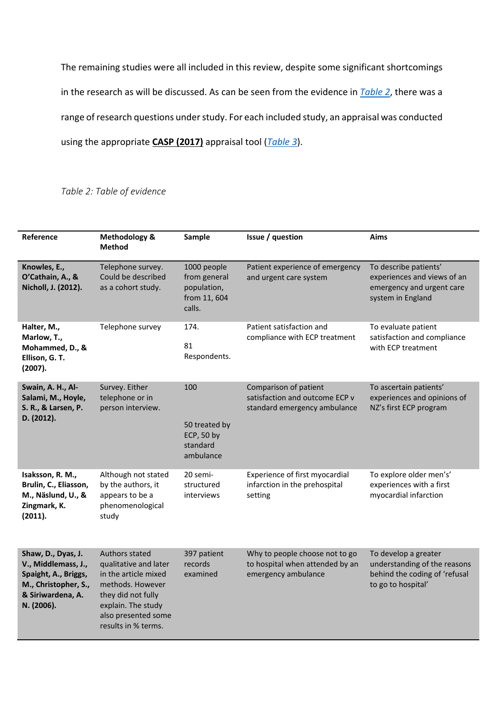The remaining studies were all included in this review, despite some significant shortcomings in the research as will be discussed. As can be seen from the evidence in *[Table 2](https://www.magonlinelibrary.com/doi/full/10.12968/ippr.2019.9.1.3#T2)*, there was a range of research questions under study. For each included study, an appraisal was conducted using the appropriate **[CASP \(2017\)](https://www.magonlinelibrary.com/doi/full/10.12968/ippr.2019.9.1.3#B3)** appraisal tool (*[Table 3](https://www.magonlinelibrary.com/doi/full/10.12968/ippr.2019.9.1.3#T3)*).

*Table 2: Table of evidence*

| Reference                                                                                                                    | Methodology &<br><b>Method</b>                                                                                                                                                | Sample                                                               | Issue / question                                                                         | Aims                                                                                                        |
|------------------------------------------------------------------------------------------------------------------------------|-------------------------------------------------------------------------------------------------------------------------------------------------------------------------------|----------------------------------------------------------------------|------------------------------------------------------------------------------------------|-------------------------------------------------------------------------------------------------------------|
| Knowles, E.,<br>O'Cathain, A., &<br>Nicholl, J. (2012).                                                                      | Telephone survey.<br>Could be described<br>as a cohort study.                                                                                                                 | 1000 people<br>from general<br>population,<br>from 11, 604<br>calls. | Patient experience of emergency<br>and urgent care system                                | To describe patients'<br>experiences and views of an<br>emergency and urgent care<br>system in England      |
| Halter, M.,<br>Marlow, T.,<br>Mohammed, D., &<br>Ellison, G. T.<br>(2007).                                                   | Telephone survey                                                                                                                                                              | 174.<br>81<br>Respondents.                                           | Patient satisfaction and<br>compliance with ECP treatment                                | To evaluate patient<br>satisfaction and compliance<br>with ECP treatment                                    |
| Swain, A. H., Al-<br>Salami, M., Hoyle,<br>S. R., & Larsen, P.<br>D. (2012).                                                 | Survey. Either<br>telephone or in<br>person interview.                                                                                                                        | 100<br>50 treated by<br><b>ECP, 50 by</b><br>standard<br>ambulance   | Comparison of patient<br>satisfaction and outcome ECP v<br>standard emergency ambulance  | To ascertain patients'<br>experiences and opinions of<br>NZ's first ECP program                             |
| Isaksson, R. M.,<br>Brulin, C., Eliasson,<br>M., Näslund, U., &<br>Zingmark, K.<br>(2011).                                   | Although not stated<br>by the authors, it<br>appears to be a<br>phenomenological<br>study                                                                                     | 20 semi-<br>structured<br>interviews                                 | Experience of first myocardial<br>infarction in the prehospital<br>setting               | To explore older men's'<br>experiences with a first<br>myocardial infarction                                |
| Shaw, D., Dyas, J.<br>V., Middlemass, J.,<br>Spaight, A., Briggs,<br>M., Christopher, S.,<br>& Siriwardena, A.<br>N. (2006). | Authors stated<br>qualitative and later<br>in the article mixed<br>methods. However<br>they did not fully<br>explain. The study<br>also presented some<br>results in % terms. | 397 patient<br>records<br>examined                                   | Why to people choose not to go<br>to hospital when attended by an<br>emergency ambulance | To develop a greater<br>understanding of the reasons<br>behind the coding of 'refusal<br>to go to hospital' |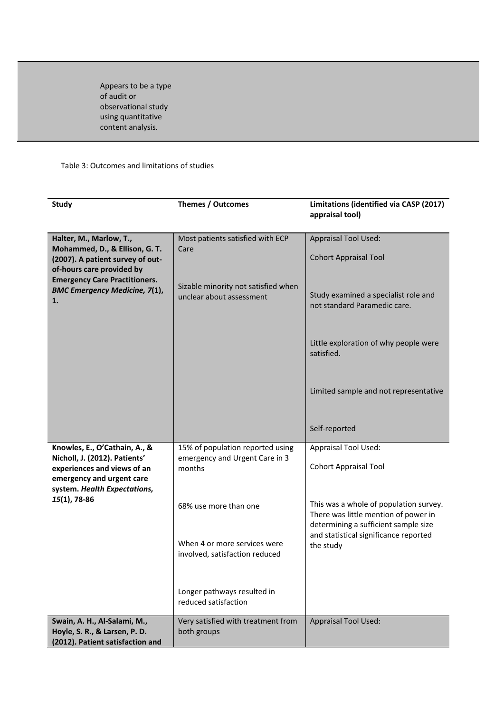Appears to be a type of audit or observational study using quantitative content analysis.

## Table 3: Outcomes and limitations of studies

| <b>Study</b>                                                                                                                                               | <b>Themes / Outcomes</b>                                                     | Limitations (identified via CASP (2017)<br>appraisal tool)                                                             |
|------------------------------------------------------------------------------------------------------------------------------------------------------------|------------------------------------------------------------------------------|------------------------------------------------------------------------------------------------------------------------|
| Halter, M., Marlow, T.,<br>Mohammed, D., & Ellison, G. T.<br>(2007). A patient survey of out-<br>of-hours care provided by                                 | Most patients satisfied with ECP<br>Care                                     | <b>Appraisal Tool Used:</b><br><b>Cohort Appraisal Tool</b>                                                            |
| <b>Emergency Care Practitioners.</b><br><b>BMC Emergency Medicine, 7(1),</b><br>1.                                                                         | Sizable minority not satisfied when<br>unclear about assessment              | Study examined a specialist role and<br>not standard Paramedic care.                                                   |
|                                                                                                                                                            |                                                                              | Little exploration of why people were<br>satisfied.                                                                    |
|                                                                                                                                                            |                                                                              | Limited sample and not representative                                                                                  |
|                                                                                                                                                            |                                                                              | Self-reported                                                                                                          |
| Knowles, E., O'Cathain, A., &<br>Nicholl, J. (2012). Patients'<br>experiences and views of an<br>emergency and urgent care<br>system. Health Expectations, | 15% of population reported using<br>emergency and Urgent Care in 3<br>months | <b>Appraisal Tool Used:</b><br><b>Cohort Appraisal Tool</b>                                                            |
| 15(1), 78-86                                                                                                                                               | 68% use more than one                                                        | This was a whole of population survey.<br>There was little mention of power in<br>determining a sufficient sample size |
|                                                                                                                                                            | When 4 or more services were<br>involved, satisfaction reduced               | and statistical significance reported<br>the study                                                                     |
|                                                                                                                                                            | Longer pathways resulted in<br>reduced satisfaction                          |                                                                                                                        |
| Swain, A. H., Al-Salami, M.,<br>Hoyle, S. R., & Larsen, P. D.<br>(2012). Patient satisfaction and                                                          | Very satisfied with treatment from<br>both groups                            | <b>Appraisal Tool Used:</b>                                                                                            |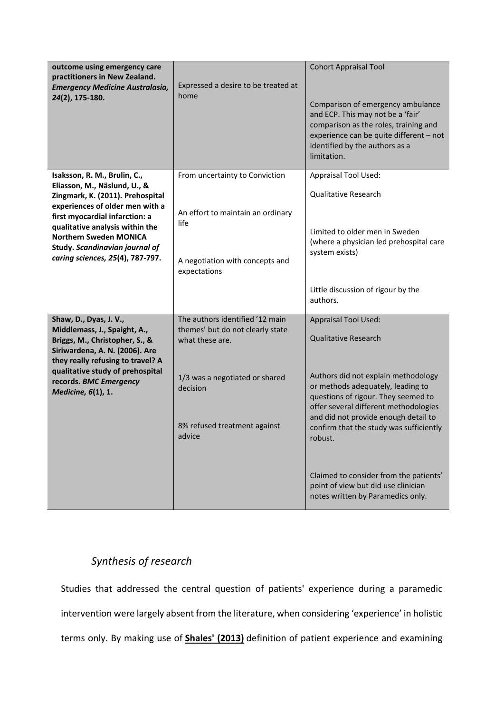| outcome using emergency care<br>practitioners in New Zealand.<br><b>Emergency Medicine Australasia,</b><br>24(2), 175-180.                                                                                                                                                                                      | Expressed a desire to be treated at<br>home                                                                                                                                    | <b>Cohort Appraisal Tool</b><br>Comparison of emergency ambulance<br>and ECP. This may not be a 'fair'<br>comparison as the roles, training and<br>experience can be quite different - not<br>identified by the authors as a<br>limitation.                                                                                                                                                                                                |
|-----------------------------------------------------------------------------------------------------------------------------------------------------------------------------------------------------------------------------------------------------------------------------------------------------------------|--------------------------------------------------------------------------------------------------------------------------------------------------------------------------------|--------------------------------------------------------------------------------------------------------------------------------------------------------------------------------------------------------------------------------------------------------------------------------------------------------------------------------------------------------------------------------------------------------------------------------------------|
| Isaksson, R. M., Brulin, C.,<br>Eliasson, M., Näslund, U., &<br>Zingmark, K. (2011). Prehospital<br>experiences of older men with a<br>first myocardial infarction: a<br>qualitative analysis within the<br><b>Northern Sweden MONICA</b><br>Study. Scandinavian journal of<br>caring sciences, 25(4), 787-797. | From uncertainty to Conviction<br>An effort to maintain an ordinary<br>life<br>A negotiation with concepts and<br>expectations                                                 | <b>Appraisal Tool Used:</b><br><b>Qualitative Research</b><br>Limited to older men in Sweden<br>(where a physician led prehospital care<br>system exists)<br>Little discussion of rigour by the<br>authors.                                                                                                                                                                                                                                |
| Shaw, D., Dyas, J. V.,<br>Middlemass, J., Spaight, A.,<br>Briggs, M., Christopher, S., &<br>Siriwardena, A. N. (2006). Are<br>they really refusing to travel? A<br>qualitative study of prehospital<br>records. BMC Emergency<br>Medicine, 6(1), 1.                                                             | The authors identified '12 main<br>themes' but do not clearly state<br>what these are.<br>1/3 was a negotiated or shared<br>decision<br>8% refused treatment against<br>advice | <b>Appraisal Tool Used:</b><br><b>Qualitative Research</b><br>Authors did not explain methodology<br>or methods adequately, leading to<br>questions of rigour. They seemed to<br>offer several different methodologies<br>and did not provide enough detail to<br>confirm that the study was sufficiently<br>robust.<br>Claimed to consider from the patients'<br>point of view but did use clinician<br>notes written by Paramedics only. |

# *Synthesis of research*

Studies that addressed the central question of patients' experience during a paramedic intervention were largely absent from the literature, when considering 'experience' in holistic terms only. By making use of **[Shales' \(2013\)](https://www.magonlinelibrary.com/doi/full/10.12968/ippr.2019.9.1.3#B23)** definition of patient experience and examining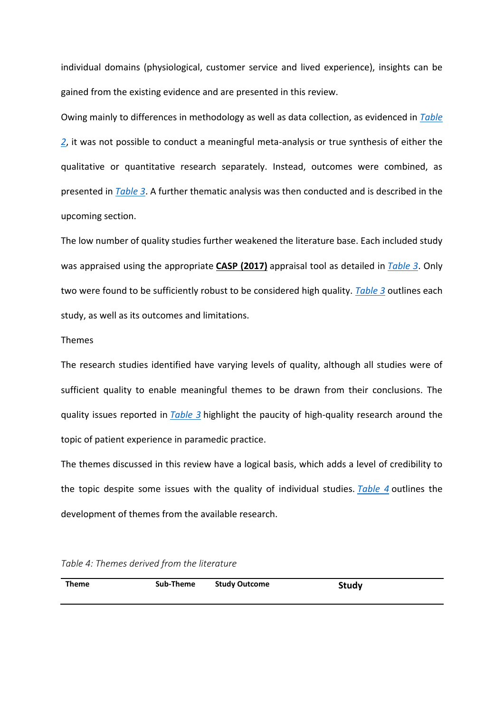individual domains (physiological, customer service and lived experience), insights can be gained from the existing evidence and are presented in this review.

Owing mainly to differences in methodology as well as data collection, as evidenced in *[Table](https://www.magonlinelibrary.com/doi/full/10.12968/ippr.2019.9.1.3#T2)  [2](https://www.magonlinelibrary.com/doi/full/10.12968/ippr.2019.9.1.3#T2)*, it was not possible to conduct a meaningful meta-analysis or true synthesis of either the qualitative or quantitative research separately. Instead, outcomes were combined, as presented in *[Table 3](https://www.magonlinelibrary.com/doi/full/10.12968/ippr.2019.9.1.3#T3)*. A further thematic analysis was then conducted and is described in the upcoming section.

The low number of quality studies further weakened the literature base. Each included study was appraised using the appropriate **[CASP \(2017\)](https://www.magonlinelibrary.com/doi/full/10.12968/ippr.2019.9.1.3#B3)** appraisal tool as detailed in *[Table 3](https://www.magonlinelibrary.com/doi/full/10.12968/ippr.2019.9.1.3#T3)*. Only two were found to be sufficiently robust to be considered high quality. *[Table 3](https://www.magonlinelibrary.com/doi/full/10.12968/ippr.2019.9.1.3#T3)* outlines each study, as well as its outcomes and limitations.

#### Themes

The research studies identified have varying levels of quality, although all studies were of sufficient quality to enable meaningful themes to be drawn from their conclusions. The quality issues reported in *[Table 3](https://www.magonlinelibrary.com/doi/full/10.12968/ippr.2019.9.1.3#T3)* highlight the paucity of high-quality research around the topic of patient experience in paramedic practice.

The themes discussed in this review have a logical basis, which adds a level of credibility to the topic despite some issues with the quality of individual studies. *[Table 4](https://www.magonlinelibrary.com/doi/full/10.12968/ippr.2019.9.1.3#T4)* outlines the development of themes from the available research.

| Table 4: Themes derived from the literature |  |  |  |
|---------------------------------------------|--|--|--|
|---------------------------------------------|--|--|--|

| <b>Theme</b> | Sub-Theme | <b>Study Outcome</b> | <b>Study</b> |
|--------------|-----------|----------------------|--------------|
|              |           |                      |              |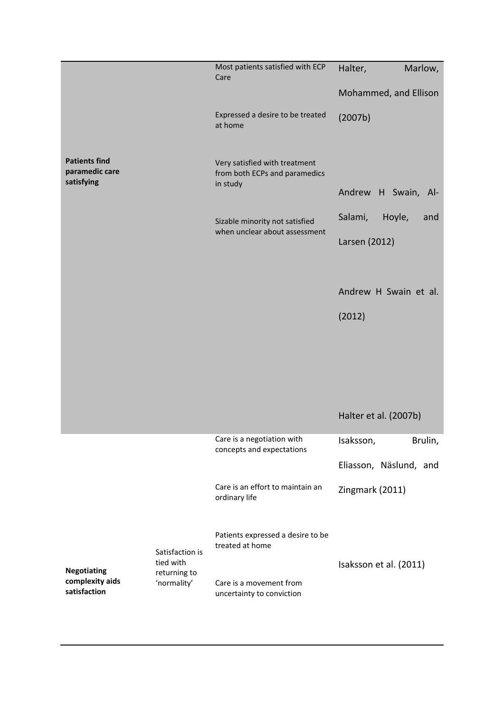|                                                      |                                          | Most patients satisfied with ECP<br>Care                                   | Halter,<br>Marlow,       |
|------------------------------------------------------|------------------------------------------|----------------------------------------------------------------------------|--------------------------|
|                                                      |                                          |                                                                            | Mohammed, and Ellison    |
|                                                      |                                          | Expressed a desire to be treated<br>at home                                | (2007b)                  |
| <b>Patients find</b><br>paramedic care<br>satisfying |                                          | Very satisfied with treatment<br>from both ECPs and paramedics<br>in study |                          |
|                                                      |                                          |                                                                            | Andrew H Swain, Al-      |
|                                                      |                                          | Sizable minority not satisfied                                             | Salami,<br>Hoyle,<br>and |
|                                                      |                                          | when unclear about assessment                                              | Larsen (2012)            |
|                                                      |                                          |                                                                            |                          |
|                                                      |                                          |                                                                            | Andrew H Swain et al.    |
|                                                      |                                          |                                                                            | (2012)                   |
|                                                      |                                          |                                                                            |                          |
|                                                      |                                          |                                                                            |                          |
|                                                      |                                          |                                                                            |                          |
|                                                      |                                          |                                                                            |                          |
|                                                      |                                          |                                                                            | Halter et al. (2007b)    |
|                                                      |                                          | Care is a negotiation with<br>concepts and expectations                    | Isaksson,<br>Brulin,     |
|                                                      |                                          |                                                                            | Eliasson, Näslund, and   |
|                                                      |                                          | Care is an effort to maintain an<br>ordinary life                          | Zingmark (2011)          |
|                                                      | Satisfaction is                          | Patients expressed a desire to be<br>treated at home                       |                          |
| <b>Negotiating</b>                                   | tied with<br>returning to<br>'normality' |                                                                            | Isaksson et al. (2011)   |
| complexity aids<br>satisfaction                      |                                          | Care is a movement from<br>uncertainty to conviction                       |                          |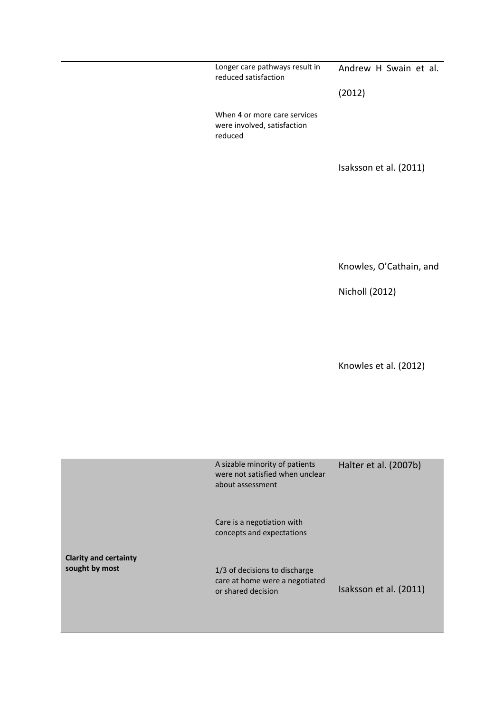Longer care pathways result in reduced satisfaction When 4 or more care services were involved, satisfaction reduced Andrew H Swain et al. (2012) Isaksson et al. (2011) Knowles, O'Cathain, and Nicholl (2012) Knowles et al. (2012) **Clarity and certainty sought by most** A sizable minority of patients were not satisfied when unclear about assessment Care is a negotiation with concepts and expectations 1/3 of decisions to discharge care at home were a negotiated or shared decision Halter et al. (2007b) Isaksson et al. (2011)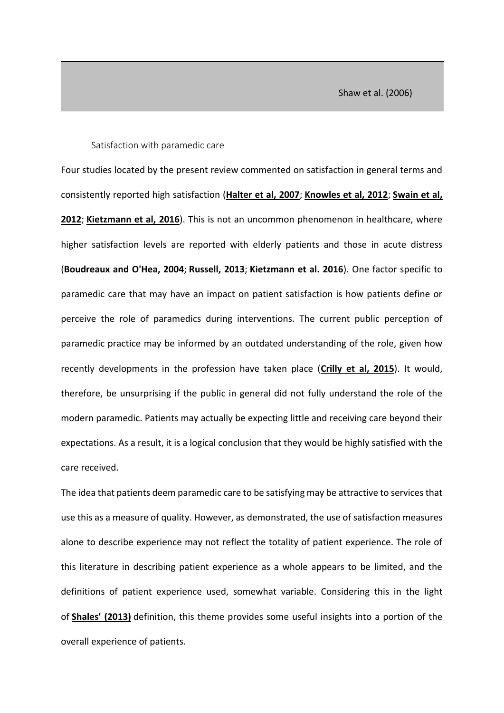#### Satisfaction with paramedic care

Four studies located by the present review commented on satisfaction in general terms and consistently reported high satisfaction (**[Halter et al, 2007](https://www.magonlinelibrary.com/doi/full/10.12968/ippr.2019.9.1.3#B9)**; **[Knowles et al, 2012](https://www.magonlinelibrary.com/doi/full/10.12968/ippr.2019.9.1.3#B13)**; **[Swain et al,](https://www.magonlinelibrary.com/doi/full/10.12968/ippr.2019.9.1.3#B25)  [2012](https://www.magonlinelibrary.com/doi/full/10.12968/ippr.2019.9.1.3#B25)**; **[Kietzmann et al, 2016](https://www.magonlinelibrary.com/doi/full/10.12968/ippr.2019.9.1.3#B12)**). This is not an uncommon phenomenon in healthcare, where higher satisfaction levels are reported with elderly patients and those in acute distress (**[Boudreaux and O'Hea, 2004](https://www.magonlinelibrary.com/doi/full/10.12968/ippr.2019.9.1.3#B2)**; **[Russell, 2013](https://www.magonlinelibrary.com/doi/full/10.12968/ippr.2019.9.1.3#B22)**; **[Kietzmann et al. 2016](https://www.magonlinelibrary.com/doi/full/10.12968/ippr.2019.9.1.3#B12)**). One factor specific to paramedic care that may have an impact on patient satisfaction is how patients define or perceive the role of paramedics during interventions. The current public perception of paramedic practice may be informed by an outdated understanding of the role, given how recently developments in the profession have taken place (**[Crilly et al, 2015](https://www.magonlinelibrary.com/doi/full/10.12968/ippr.2019.9.1.3#B4)**). It would, therefore, be unsurprising if the public in general did not fully understand the role of the modern paramedic. Patients may actually be expecting little and receiving care beyond their expectations. As a result, it is a logical conclusion that they would be highly satisfied with the care received.

The idea that patients deem paramedic care to be satisfying may be attractive to services that use this as a measure of quality. However, as demonstrated, the use of satisfaction measures alone to describe experience may not reflect the totality of patient experience. The role of this literature in describing patient experience as a whole appears to be limited, and the definitions of patient experience used, somewhat variable. Considering this in the light of **[Shales' \(2013\)](https://www.magonlinelibrary.com/doi/full/10.12968/ippr.2019.9.1.3#B23)** definition, this theme provides some useful insights into a portion of the overall experience of patients.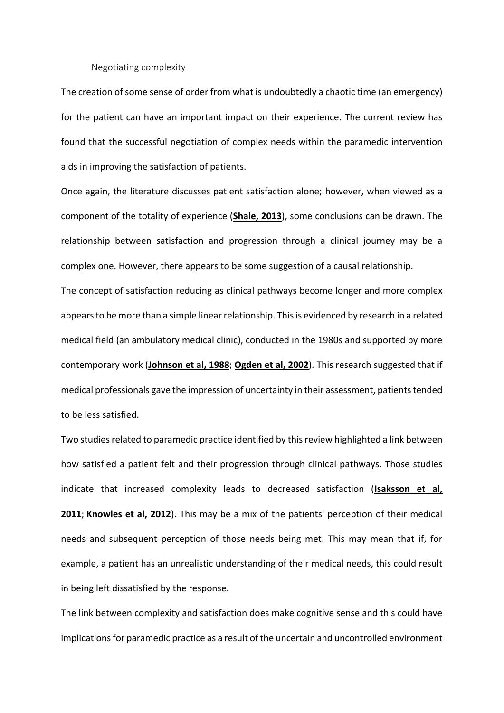#### Negotiating complexity

The creation of some sense of order from what is undoubtedly a chaotic time (an emergency) for the patient can have an important impact on their experience. The current review has found that the successful negotiation of complex needs within the paramedic intervention aids in improving the satisfaction of patients.

Once again, the literature discusses patient satisfaction alone; however, when viewed as a component of the totality of experience (**[Shale, 2013](https://www.magonlinelibrary.com/doi/full/10.12968/ippr.2019.9.1.3#B23)**), some conclusions can be drawn. The relationship between satisfaction and progression through a clinical journey may be a complex one. However, there appears to be some suggestion of a causal relationship.

The concept of satisfaction reducing as clinical pathways become longer and more complex appears to be more than a simple linear relationship. This is evidenced by research in a related medical field (an ambulatory medical clinic), conducted in the 1980s and supported by more contemporary work (**[Johnson et al, 1988](https://www.magonlinelibrary.com/doi/full/10.12968/ippr.2019.9.1.3#B11)**; **[Ogden et al, 2002](https://www.magonlinelibrary.com/doi/full/10.12968/ippr.2019.9.1.3#B18)**). This research suggested that if medical professionals gave the impression of uncertainty in their assessment, patients tended to be less satisfied.

Two studies related to paramedic practice identified by this review highlighted a link between how satisfied a patient felt and their progression through clinical pathways. Those studies indicate that increased complexity leads to decreased satisfaction (**[Isaksson et al,](https://www.magonlinelibrary.com/doi/full/10.12968/ippr.2019.9.1.3#B10)  [2011](https://www.magonlinelibrary.com/doi/full/10.12968/ippr.2019.9.1.3#B10)**; **[Knowles et al, 2012](https://www.magonlinelibrary.com/doi/full/10.12968/ippr.2019.9.1.3#B13)**). This may be a mix of the patients' perception of their medical needs and subsequent perception of those needs being met. This may mean that if, for example, a patient has an unrealistic understanding of their medical needs, this could result in being left dissatisfied by the response.

The link between complexity and satisfaction does make cognitive sense and this could have implications for paramedic practice as a result of the uncertain and uncontrolled environment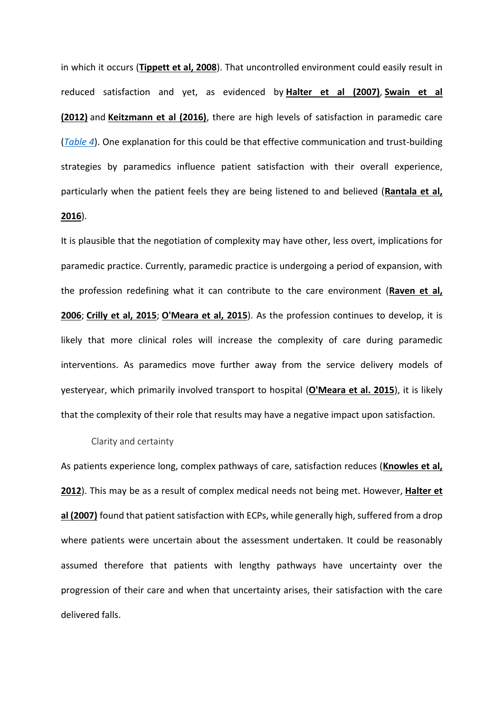in which it occurs (**[Tippett et al, 2008](https://www.magonlinelibrary.com/doi/full/10.12968/ippr.2019.9.1.3#B27)**). That uncontrolled environment could easily result in reduced satisfaction and yet, as evidenced by **[Halter et al \(2007\)](https://www.magonlinelibrary.com/doi/full/10.12968/ippr.2019.9.1.3#B9)**, **[Swain et](https://www.magonlinelibrary.com/doi/full/10.12968/ippr.2019.9.1.3#B25) al [\(2012\)](https://www.magonlinelibrary.com/doi/full/10.12968/ippr.2019.9.1.3#B25)** and **[Keitzmann et al \(2016\)](https://www.magonlinelibrary.com/doi/full/10.12968/ippr.2019.9.1.3#B12)**, there are high levels of satisfaction in paramedic care (*[Table 4](https://www.magonlinelibrary.com/doi/full/10.12968/ippr.2019.9.1.3#T4)*). One explanation for this could be that effective communication and trust-building strategies by paramedics influence patient satisfaction with their overall experience, particularly when the patient feels they are being listened to and believed (**[Rantala et al,](https://www.magonlinelibrary.com/doi/full/10.12968/ippr.2019.9.1.3#B20)  [2016](https://www.magonlinelibrary.com/doi/full/10.12968/ippr.2019.9.1.3#B20)**).

It is plausible that the negotiation of complexity may have other, less overt, implications for paramedic practice. Currently, paramedic practice is undergoing a period of expansion, with the profession redefining what it can contribute to the care environment (**[Raven et al,](https://www.magonlinelibrary.com/doi/full/10.12968/ippr.2019.9.1.3#B21)  [2006](https://www.magonlinelibrary.com/doi/full/10.12968/ippr.2019.9.1.3#B21)**; **[Crilly et al, 2015](https://www.magonlinelibrary.com/doi/full/10.12968/ippr.2019.9.1.3#B4)**; **[O'Meara et al, 2015](https://www.magonlinelibrary.com/doi/full/10.12968/ippr.2019.9.1.3#B17)**). As the profession continues to develop, it is likely that more clinical roles will increase the complexity of care during paramedic interventions. As paramedics move further away from the service delivery models of yesteryear, which primarily involved transport to hospital (**[O'Meara et al. 2015](https://www.magonlinelibrary.com/doi/full/10.12968/ippr.2019.9.1.3#B17)**), it is likely that the complexity of their role that results may have a negative impact upon satisfaction.

#### Clarity and certainty

As patients experience long, complex pathways of care, satisfaction reduces (**[Knowles et al,](https://www.magonlinelibrary.com/doi/full/10.12968/ippr.2019.9.1.3#B13)  [2012](https://www.magonlinelibrary.com/doi/full/10.12968/ippr.2019.9.1.3#B13)**). This may be as a result of complex medical needs not being met. However, **[Halter et](https://www.magonlinelibrary.com/doi/full/10.12968/ippr.2019.9.1.3#B9)  [al \(2007\)](https://www.magonlinelibrary.com/doi/full/10.12968/ippr.2019.9.1.3#B9)** found that patient satisfaction with ECPs, while generally high, suffered from a drop where patients were uncertain about the assessment undertaken. It could be reasonably assumed therefore that patients with lengthy pathways have uncertainty over the progression of their care and when that uncertainty arises, their satisfaction with the care delivered falls.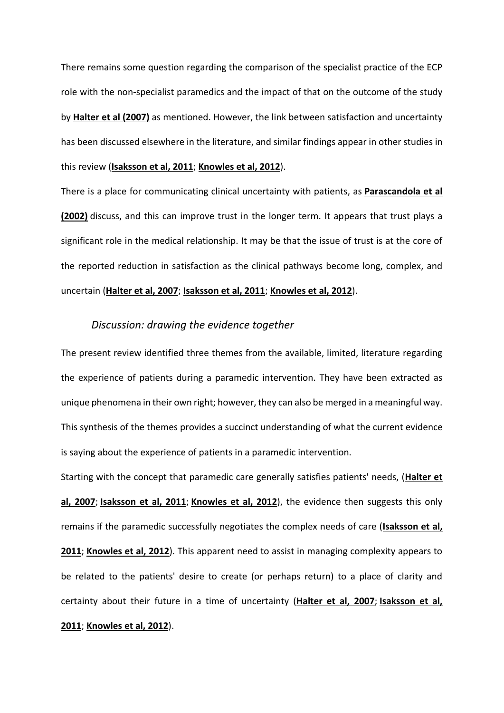There remains some question regarding the comparison of the specialist practice of the ECP role with the non-specialist paramedics and the impact of that on the outcome of the study by **[Halter et al \(2007\)](https://www.magonlinelibrary.com/doi/full/10.12968/ippr.2019.9.1.3#B9)** as mentioned. However, the link between satisfaction and uncertainty has been discussed elsewhere in the literature, and similar findings appear in other studies in this review (**[Isaksson et al, 2011](https://www.magonlinelibrary.com/doi/full/10.12968/ippr.2019.9.1.3#B10)**; **[Knowles et al, 2012](https://www.magonlinelibrary.com/doi/full/10.12968/ippr.2019.9.1.3#B13)**).

There is a place for communicating clinical uncertainty with patients, as **[Parascandola et al](https://www.magonlinelibrary.com/doi/full/10.12968/ippr.2019.9.1.3#B19)  [\(2002\)](https://www.magonlinelibrary.com/doi/full/10.12968/ippr.2019.9.1.3#B19)** discuss, and this can improve trust in the longer term. It appears that trust plays a significant role in the medical relationship. It may be that the issue of trust is at the core of the reported reduction in satisfaction as the clinical pathways become long, complex, and uncertain (**[Halter et al, 2007](https://www.magonlinelibrary.com/doi/full/10.12968/ippr.2019.9.1.3#B9)**; **[Isaksson et al, 2011](https://www.magonlinelibrary.com/doi/full/10.12968/ippr.2019.9.1.3#B10)**; **[Knowles et al, 2012](https://www.magonlinelibrary.com/doi/full/10.12968/ippr.2019.9.1.3#B13)**).

## *Discussion: drawing the evidence together*

The present review identified three themes from the available, limited, literature regarding the experience of patients during a paramedic intervention. They have been extracted as unique phenomena in their own right; however, they can also be merged in a meaningful way. This synthesis of the themes provides a succinct understanding of what the current evidence is saying about the experience of patients in a paramedic intervention.

Starting with the concept that paramedic care generally satisfies patients' needs, (**[Halter et](https://www.magonlinelibrary.com/doi/full/10.12968/ippr.2019.9.1.3#B9)  [al, 2007](https://www.magonlinelibrary.com/doi/full/10.12968/ippr.2019.9.1.3#B9)**; **[Isaksson et al, 2011](https://www.magonlinelibrary.com/doi/full/10.12968/ippr.2019.9.1.3#B10)**; **[Knowles et al, 2012](https://www.magonlinelibrary.com/doi/full/10.12968/ippr.2019.9.1.3#B13)**), the evidence then suggests this only remains if the paramedic successfully negotiates the complex needs of care (**[Isaksson et al,](https://www.magonlinelibrary.com/doi/full/10.12968/ippr.2019.9.1.3#B10)  [2011](https://www.magonlinelibrary.com/doi/full/10.12968/ippr.2019.9.1.3#B10)**; **[Knowles et al, 2012](https://www.magonlinelibrary.com/doi/full/10.12968/ippr.2019.9.1.3#B13)**). This apparent need to assist in managing complexity appears to be related to the patients' desire to create (or perhaps return) to a place of clarity and certainty about their future in a time of uncertainty (**[Halter et al, 2007](https://www.magonlinelibrary.com/doi/full/10.12968/ippr.2019.9.1.3#B9)**; **[Isaksson et al,](https://www.magonlinelibrary.com/doi/full/10.12968/ippr.2019.9.1.3#B10)  [2011](https://www.magonlinelibrary.com/doi/full/10.12968/ippr.2019.9.1.3#B10)**; **[Knowles et al, 2012](https://www.magonlinelibrary.com/doi/full/10.12968/ippr.2019.9.1.3#B13)**).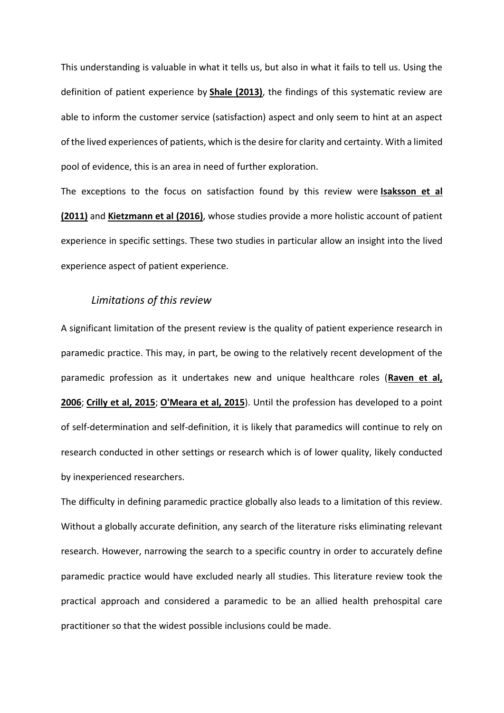This understanding is valuable in what it tells us, but also in what it fails to tell us. Using the definition of patient experience by **[Shale \(2013\)](https://www.magonlinelibrary.com/doi/full/10.12968/ippr.2019.9.1.3#B23)**, the findings of this systematic review are able to inform the customer service (satisfaction) aspect and only seem to hint at an aspect of the lived experiences of patients, which is the desire for clarity and certainty. With a limited pool of evidence, this is an area in need of further exploration.

The exceptions to the focus on satisfaction found by this review were **[Isaksson et al](https://www.magonlinelibrary.com/doi/full/10.12968/ippr.2019.9.1.3#B10)  [\(2011\)](https://www.magonlinelibrary.com/doi/full/10.12968/ippr.2019.9.1.3#B10)** and **[Kietzmann et al \(2016\)](https://www.magonlinelibrary.com/doi/full/10.12968/ippr.2019.9.1.3#B12)**, whose studies provide a more holistic account of patient experience in specific settings. These two studies in particular allow an insight into the lived experience aspect of patient experience.

## *Limitations of this review*

A significant limitation of the present review is the quality of patient experience research in paramedic practice. This may, in part, be owing to the relatively recent development of the paramedic profession as it undertakes new and unique healthcare roles (**[Raven](https://www.magonlinelibrary.com/doi/full/10.12968/ippr.2019.9.1.3#B21) et al, [2006](https://www.magonlinelibrary.com/doi/full/10.12968/ippr.2019.9.1.3#B21)**; **[Crilly et al, 2015](https://www.magonlinelibrary.com/doi/full/10.12968/ippr.2019.9.1.3#B4)**; **[O'Meara et al, 2015](https://www.magonlinelibrary.com/doi/full/10.12968/ippr.2019.9.1.3#B17)**). Until the profession has developed to a point of self-determination and self-definition, it is likely that paramedics will continue to rely on research conducted in other settings or research which is of lower quality, likely conducted by inexperienced researchers.

The difficulty in defining paramedic practice globally also leads to a limitation of this review. Without a globally accurate definition, any search of the literature risks eliminating relevant research. However, narrowing the search to a specific country in order to accurately define paramedic practice would have excluded nearly all studies. This literature review took the practical approach and considered a paramedic to be an allied health prehospital care practitioner so that the widest possible inclusions could be made.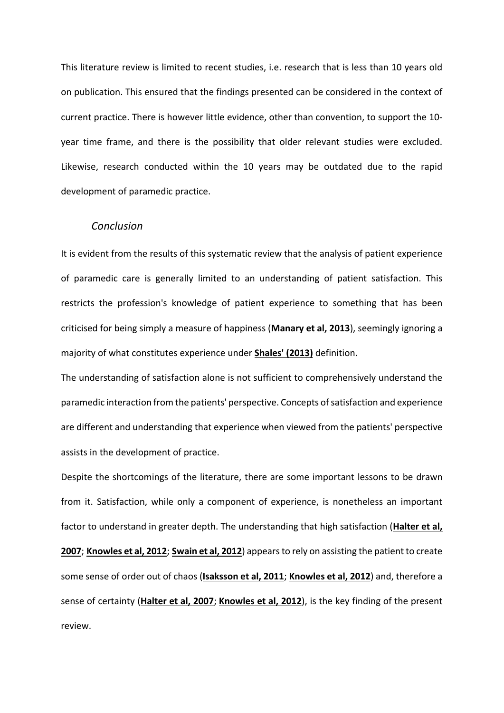This literature review is limited to recent studies, i.e. research that is less than 10 years old on publication. This ensured that the findings presented can be considered in the context of current practice. There is however little evidence, other than convention, to support the 10 year time frame, and there is the possibility that older relevant studies were excluded. Likewise, research conducted within the 10 years may be outdated due to the rapid development of paramedic practice.

#### *Conclusion*

It is evident from the results of this systematic review that the analysis of patient experience of paramedic care is generally limited to an understanding of patient satisfaction. This restricts the profession's knowledge of patient experience to something that has been criticised for being simply a measure of happiness (**[Manary et al, 2013](https://www.magonlinelibrary.com/doi/full/10.12968/ippr.2019.9.1.3#B14)**), seemingly ignoring a majority of what constitutes experience under **[Shales' \(2013\)](https://www.magonlinelibrary.com/doi/full/10.12968/ippr.2019.9.1.3#B23)** definition.

The understanding of satisfaction alone is not sufficient to comprehensively understand the paramedic interaction from the patients' perspective. Concepts of satisfaction and experience are different and understanding that experience when viewed from the patients' perspective assists in the development of practice.

Despite the shortcomings of the literature, there are some important lessons to be drawn from it. Satisfaction, while only a component of experience, is nonetheless an important factor to understand in greater depth. The understanding that high satisfaction (**[Halter et al,](https://www.magonlinelibrary.com/doi/full/10.12968/ippr.2019.9.1.3#B9)  [2007](https://www.magonlinelibrary.com/doi/full/10.12968/ippr.2019.9.1.3#B9)**; **[Knowles et al, 2012](https://www.magonlinelibrary.com/doi/full/10.12968/ippr.2019.9.1.3#B13)**; **[Swain et al, 2012](https://www.magonlinelibrary.com/doi/full/10.12968/ippr.2019.9.1.3#B25)**) appears to rely on assisting the patient to create some sense of order out of chaos (**[Isaksson et al, 2011](https://www.magonlinelibrary.com/doi/full/10.12968/ippr.2019.9.1.3#B10)**; **[Knowles et al, 2012](https://www.magonlinelibrary.com/doi/full/10.12968/ippr.2019.9.1.3#B13)**) and, therefore a sense of certainty (**[Halter et al, 2007](https://www.magonlinelibrary.com/doi/full/10.12968/ippr.2019.9.1.3#B9)**; **[Knowles et al, 2012](https://www.magonlinelibrary.com/doi/full/10.12968/ippr.2019.9.1.3#B13)**), is the key finding of the present review.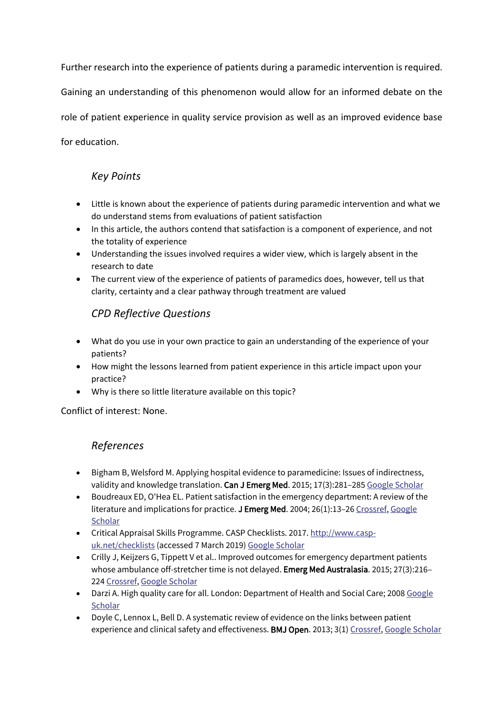Further research into the experience of patients during a paramedic intervention is required.

Gaining an understanding of this phenomenon would allow for an informed debate on the

role of patient experience in quality service provision as well as an improved evidence base

for education.

# *Key Points*

- Little is known about the experience of patients during paramedic intervention and what we do understand stems from evaluations of patient satisfaction
- In this article, the authors contend that satisfaction is a component of experience, and not the totality of experience
- Understanding the issues involved requires a wider view, which is largely absent in the research to date
- The current view of the experience of patients of paramedics does, however, tell us that clarity, certainty and a clear pathway through treatment are valued

# *CPD Reflective Questions*

- What do you use in your own practice to gain an understanding of the experience of your patients?
- How might the lessons learned from patient experience in this article impact upon your practice?
- Why is there so little literature available on this topic?

Conflict of interest: None.

# *References*

- Bigham B, Welsford M. Applying hospital evidence to paramedicine: Issues of indirectness, validity and knowledge translation. Can J Emerg Med. 2015; 17(3):281-285 [Google Scholar](http://scholar.google.com/scholar_lookup?hl=en&volume=17&publication_year=2015&pages=281-285&journal=Can+J+Emerg+Med&issue=3&author=B+Bigham&author=M.+Welsford&title=Applying+hospital+evidence+to+paramedicine%3A+Issues+of+indirectness%2C+validity+and+knowledge+translation)
- Boudreaux ED, O'Hea EL. Patient satisfaction in the emergency department: A review of the literature and implications for practice. J Emerg Med. 2004; 26(1):13-26 [Crossref,](https://www.magonlinelibrary.com/servlet/linkout?suffix=B2&dbid=16&doi=10.12968%2Fippr.2019.9.1.3&key=10.1016%2Fj.jemermed.2003.04.003) Google **[Scholar](http://scholar.google.com/scholar_lookup?hl=en&volume=26&publication_year=2004&pages=13-26&journal=J+Emerg+Med&issue=1&author=ED+Boudreaux&author=EL.+O%27Hea&title=Patient+satisfaction+in+the+emergency+department%3A+A+review+of+the+literature+and+implications+for+practice)**
- Critical Appraisal Skills Programme. CASP Checklists. 2017. [http://www.casp](http://www.casp-uk.net/checklists)[uk.net/checklists](http://www.casp-uk.net/checklists) (accessed 7 March 2019) [Google Scholar](http://scholar.google.com/scholar_lookup?hl=en&publication_year=2017&author=Critical+Appraisal+Skills+Programme&title=CASP+Checklists)
- Crilly J, Keijzers G, Tippett V et al.. Improved outcomes for emergency department patients whose ambulance off-stretcher time is not delayed. Emerg Med Australasia. 2015; 27(3):216– 224 [Crossref,](https://www.magonlinelibrary.com/servlet/linkout?suffix=B4&dbid=16&doi=10.12968%2Fippr.2019.9.1.3&key=10.1111%2F1742-6723.12399) [Google Scholar](http://scholar.google.com/scholar_lookup?hl=en&volume=27&publication_year=2015&pages=216-224&journal=Emerg+Med+Australasia&issue=3&author=J+Crilly&author=G+Keijzers&author=V+Tippett&title=Improved+outcomes+for+emergency+department+patients+whose+ambulance+off-stretcher+time+is+not+delayed)
- Darzi A. High quality care for all. London: Department of Health and Social Care; 2008 Google **[Scholar](http://scholar.google.com/scholar?hl=en&q=Darzi+A.+High+quality+care+for+all.+London%3A+Department+of+Health+and+Social+Care%3B+2008)**
- Doyle C, Lennox L, Bell D. A systematic review of evidence on the links between patient experience and clinical safety and effectiveness. BMJ Open. 2013; 3(1) [Crossref,](https://www.magonlinelibrary.com/servlet/linkout?suffix=B6&dbid=16&doi=10.12968%2Fippr.2019.9.1.3&key=10.1136%2Fbmjopen-2012-001570) [Google Scholar](http://scholar.google.com/scholar_lookup?hl=en&volume=3&publication_year=2013&journal=BMJ+Open&issue=1&author=C+Doyle&author=L+Lennox&author=D.+Bell&title=A+systematic+review+of+evidence+on+the+links+between+patient+experience+and+clinical+safety+and+effectiveness)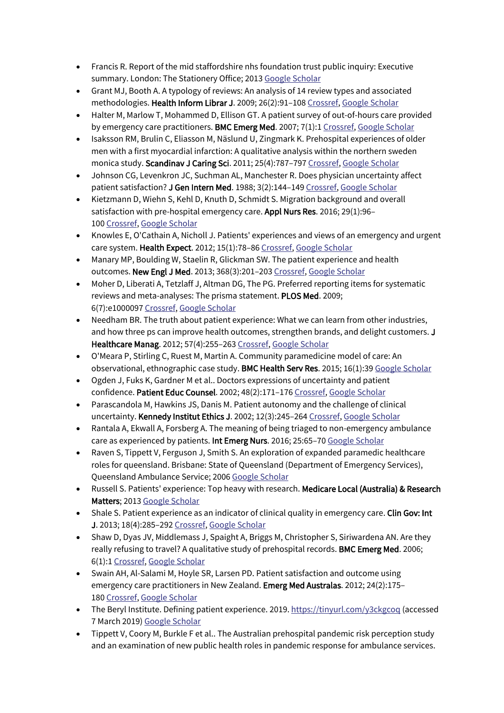- Francis R. Report of the mid staffordshire nhs foundation trust public inquiry: Executive summary. London: The Stationery Office; 2013 [Google Scholar](http://scholar.google.com/scholar?hl=en&q=Francis+R.+Report+of+the+mid+staffordshire+nhs+foundation+trust+public+inquiry%3A+Executive+summary.+London%3A+The+Stationery+Office%3B+2013)
- Grant MJ, Booth A. A typology of reviews: An analysis of 14 review types and associated methodologies. Health Inform Librar J. 2009; 26(2):91-108 [Crossref,](https://www.magonlinelibrary.com/servlet/linkout?suffix=B8&dbid=16&doi=10.12968%2Fippr.2019.9.1.3&key=10.1111%2Fj.1471-1842.2009.00848.x) [Google Scholar](http://scholar.google.com/scholar_lookup?hl=en&volume=26&publication_year=2009&pages=91-108&journal=Health+Inform+Librar+J&issue=2&author=MJ+Grant&author=A.+Booth&title=A+typology+of+reviews%3A+An+analysis+of+14+review+types+and+associated+methodologies)
- Halter M, Marlow T, Mohammed D, Ellison GT. A patient survey of out-of-hours care provided by emergency care practitioners. BMC Emerg Med. 2007; 7(1):1 [Crossref,](https://www.magonlinelibrary.com/servlet/linkout?suffix=B9&dbid=16&doi=10.12968%2Fippr.2019.9.1.3&key=10.1186%2F1471-227X-7-4) [Google Scholar](http://scholar.google.com/scholar_lookup?hl=en&volume=7&publication_year=2007&pages=1&journal=BMC+Emerg+Med&issue=1&author=M+Halter&author=T+Marlow&author=D+Mohammed&author=GT.+Ellison&title=A+patient+survey+of+out-of-hours+care+provided+by+emergency+care+practitioners)
- Isaksson RM, Brulin C, Eliasson M, Näslund U, Zingmark K. Prehospital experiences of older men with a first myocardial infarction: A qualitative analysis within the northern sweden monica study. Scandinav J Caring Sci. 2011; 25(4):787–797 [Crossref,](https://www.magonlinelibrary.com/servlet/linkout?suffix=B10&dbid=16&doi=10.12968%2Fippr.2019.9.1.3&key=10.1111%2Fj.1471-6712.2011.00896.x) [Google Scholar](http://scholar.google.com/scholar_lookup?hl=en&volume=25&publication_year=2011&pages=787-797&journal=Scandinav+J+Caring+Sci&issue=4&author=RM+Isaksson&author=C+Brulin&author=M+Eliasson&author=U+N%C3%A4slund&author=K.+Zingmark&title=Prehospital+experiences+of+older+men+with+a+first+myocardial+infarction%3A+A+qualitative+analysis+within+the+northern+sweden+monica+study)
- Johnson CG, Levenkron JC, Suchman AL, Manchester R. Does physician uncertainty affect patient satisfaction? J Gen Intern Med. 1988; 3(2):144-149 [Crossref,](https://www.magonlinelibrary.com/servlet/linkout?suffix=B11&dbid=16&doi=10.12968%2Fippr.2019.9.1.3&key=10.1007%2FBF02596120) [Google Scholar](http://scholar.google.com/scholar_lookup?hl=en&volume=3&publication_year=1988&pages=144-149&journal=J+Gen+Intern+Med&issue=2&author=CG+Johnson&author=JC+Levenkron&author=AL+Suchman&author=R.+Manchester&title=Does+physician+uncertainty+affect+patient+satisfaction%3F)
- Kietzmann D, Wiehn S, Kehl D, Knuth D, Schmidt S. Migration background and overall satisfaction with pre-hospital emergency care. Appl Nurs Res. 2016; 29(1):96– 100 [Crossref,](https://www.magonlinelibrary.com/servlet/linkout?suffix=B12&dbid=16&doi=10.12968%2Fippr.2019.9.1.3&key=10.1016%2Fj.apnr.2015.05.009) [Google Scholar](http://scholar.google.com/scholar_lookup?hl=en&volume=29&publication_year=2016&pages=96-100&journal=Appl+Nurs+Res&issue=1&author=D+Kietzmann&author=S+Wiehn&author=D+Kehl&author=D+Knuth&author=S.+Schmidt&title=Migration+background+and+overall+satisfaction+with+pre-hospital+emergency+care)
- Knowles E, O'Cathain A, Nicholl J. Patients' experiences and views of an emergency and urgent care system. Health Expect. 2012; 15(1):78–86 [Crossref,](https://www.magonlinelibrary.com/servlet/linkout?suffix=B13&dbid=16&doi=10.12968%2Fippr.2019.9.1.3&key=10.1111%2Fj.1369-7625.2010.00659.x) [Google Scholar](http://scholar.google.com/scholar_lookup?hl=en&volume=15&publication_year=2012&pages=78-86&journal=Health+Expect&issue=1&author=E+Knowles&author=A+O%27Cathain&author=J.+Nicholl&title=Patients%27+experiences+and+views+of+an+emergency+and+urgent+care+system)
- Manary MP, Boulding W, Staelin R, Glickman SW. The patient experience and health outcomes. New Engl J Med. 2013; 368(3):201–203 [Crossref,](https://www.magonlinelibrary.com/servlet/linkout?suffix=B14&dbid=16&doi=10.12968%2Fippr.2019.9.1.3&key=10.1056%2FNEJMp1211775) [Google Scholar](http://scholar.google.com/scholar_lookup?hl=en&volume=368&publication_year=2013&pages=201-203&journal=New+Engl+J+Med&issue=3&author=MP+Manary&author=W+Boulding&author=R+Staelin&author=SW.+Glickman&title=The+patient+experience+and+health+outcomes)
- Moher D, Liberati A, Tetzlaff J, Altman DG, The PG. Preferred reporting items for systematic reviews and meta-analyses: The prisma statement. PLOS Med. 2009; 6(7):e1000097 [Crossref,](https://www.magonlinelibrary.com/servlet/linkout?suffix=B15&dbid=16&doi=10.12968%2Fippr.2019.9.1.3&key=10.1371%2Fjournal.pmed.1000097) [Google Scholar](http://scholar.google.com/scholar_lookup?hl=en&volume=6&publication_year=2009&pages=e1000097&journal=PLOS+Med&issue=7&author=D+Moher&author=A+Liberati&author=J+Tetzlaff&author=DG+Altman&author=PG.+The&title=Preferred+reporting+items+for+systematic+reviews+and+meta-analyses%3A+The+prisma+statement)
- Needham BR. The truth about patient experience: What we can learn from other industries, and how three ps can improve health outcomes, strengthen brands, and delight customers. J Healthcare Manag. 2012; 57(4):255-263 [Crossref,](https://www.magonlinelibrary.com/servlet/linkout?suffix=B16&dbid=16&doi=10.12968%2Fippr.2019.9.1.3&key=10.1097%2F00115514-201207000-00006) [Google Scholar](http://scholar.google.com/scholar_lookup?hl=en&volume=57&publication_year=2012&pages=255-263&journal=J+Healthcare+Manag&issue=4&author=BR.+Needham&title=The+truth+about+patient+experience%3A+What+we+can+learn+from+other+industries%2C+and+how+three+ps+can+improve+health+outcomes%2C+strengthen+brands%2C+and+delight+customers)
- O'Meara P, Stirling C, Ruest M, Martin A. Community paramedicine model of care: An observational, ethnographic case study. BMC Health Serv Res. 2015; 16(1):39 [Google Scholar](http://scholar.google.com/scholar_lookup?hl=en&volume=16&publication_year=2015&journal=BMC+Health+Serv+Res&issue=1&author=P+O%27Meara&author=C+Stirling&author=M+Ruest&author=A.+Martin&title=Community+paramedicine+model+of+care%3A+An+observational%2C+ethnographic+case+study)
- Ogden J, Fuks K, Gardner M et al.. Doctors expressions of uncertainty and patient confidence. Patient Educ Counsel. 2002; 48(2):171-176 [Crossref,](https://www.magonlinelibrary.com/servlet/linkout?suffix=B18&dbid=16&doi=10.12968%2Fippr.2019.9.1.3&key=10.1016%2FS0738-3991%2802%2900020-4) [Google Scholar](http://scholar.google.com/scholar_lookup?hl=en&volume=48&publication_year=2002&pages=171-176&journal=Patient+Educ+Counsel&issue=2&author=J+Ogden&author=K+Fuks&author=M+Gardner&title=Doctors+expressions+of+uncertainty+and+patient+confidence)
- Parascandola M, Hawkins JS, Danis M. Patient autonomy and the challenge of clinical uncertainty. Kennedy Institut Ethics J. 2002; 12(3):245–264 [Crossref,](https://www.magonlinelibrary.com/servlet/linkout?suffix=B19&dbid=16&doi=10.12968%2Fippr.2019.9.1.3&key=10.1353%2Fken.2002.0018) [Google Scholar](http://scholar.google.com/scholar_lookup?hl=en&volume=12&publication_year=2002&pages=245-264&journal=Kennedy+Institut+Ethics+J&issue=3&author=M+Parascandola&author=JS+Hawkins&author=M.+Danis&title=Patient+autonomy+and+the+challenge+of+clinical+uncertainty)
- Rantala A, Ekwall A, Forsberg A. The meaning of being triaged to non-emergency ambulance care as experienced by patients. Int Emerg Nurs. 2016; 25:65–70 [Google Scholar](http://scholar.google.com/scholar_lookup?hl=en&publication_year=2016&pages=25+65-70&journal=Int+Emerg+Nurs&author=A+Rantala&author=A+Ekwall&author=A.+Forsberg&title=The+meaning+of+being+triaged+to+non-emergency+ambulance+care+as+experienced+by+patients)
- Raven S, Tippett V, Ferguson J, Smith S. An exploration of expanded paramedic healthcare roles for queensland. Brisbane: State of Queensland (Department of Emergency Services), Queensland Ambulance Service; 2006 [Google Scholar](http://scholar.google.com/scholar?hl=en&q=Raven+S%2C+Tippett+V%2C+Ferguson+J%2C+Smith+S.+An+exploration+of+expanded+paramedic+healthcare+roles+for+queensland.+Brisbane%3A+State+of+Queensland+%28Department+of+Emergency+Services%29%2C+Queensland+Ambulance+Service%3B+2006)
- Russell S. Patients' experience: Top heavy with research. Medicare Local (Australia) & Research Matters; 2013 [Google Scholar](http://scholar.google.com/scholar_lookup?hl=en&publication_year=2013&journal=Medicare+Local+%28Australia%29+%26+Research+Matters&author=S.+Russell&title=Patients%27+experience%3A+Top+heavy+with+research)
- Shale S. Patient experience as an indicator of clinical quality in emergency care. Clin Gov: Int J. 2013; 18(4):285–292 [Crossref,](https://www.magonlinelibrary.com/servlet/linkout?suffix=B23&dbid=16&doi=10.12968%2Fippr.2019.9.1.3&key=10.1108%2FCGIJ-03-2012-0008) [Google Scholar](http://scholar.google.com/scholar_lookup?hl=en&volume=18&publication_year=2013&pages=285-292&journal=Clin+Gov%3A+Int+J&issue=4&author=S.+Shale&title=Patient+experience+as+an+indicator+of+clinical+quality+in+emergency+care)
- Shaw D, Dyas JV, Middlemass J, Spaight A, Briggs M, Christopher S, Siriwardena AN. Are they really refusing to travel? A qualitative study of prehospital records. BMC Emerg Med. 2006; 6(1):1 [Crossref,](https://www.magonlinelibrary.com/servlet/linkout?suffix=B24&dbid=16&doi=10.12968%2Fippr.2019.9.1.3&key=10.1186%2F1471-227X-6-8) [Google Scholar](http://scholar.google.com/scholar_lookup?hl=en&volume=6&publication_year=2006&pages=1&journal=BMC+Emerg+Med&issue=1&author=D+Shaw&author=JV+Dyas&author=J+Middlemass&author=A+Spaight&author=M+Briggs&author=S+Christopher&author=AN.+Siriwardena&title=Are+they+really+refusing+to+travel%3F+A+qualitative+study+of+prehospital+records)
- Swain AH, Al-Salami M, Hoyle SR, Larsen PD. Patient satisfaction and outcome using emergency care practitioners in New Zealand. Emerg Med Australas. 2012; 24(2):175– 180 [Crossref,](https://www.magonlinelibrary.com/servlet/linkout?suffix=B25&dbid=16&doi=10.12968%2Fippr.2019.9.1.3&key=10.1111%2Fj.1742-6723.2011.01525.x) [Google Scholar](http://scholar.google.com/scholar_lookup?hl=en&volume=24&publication_year=2012&pages=175-180&journal=Emerg+Med+Australas&issue=2&author=AH+Swain&author=M+Al-Salami&author=SR+Hoyle&author=PD.+Larsen&title=Patient+satisfaction+and+outcome+using+emergency+care+practitioners+in+New+Zealand)
- The Beryl Institute. Defining patient experience. 2019. <https://tinyurl.com/y3ckgcoq> (accessed 7 March 2019) [Google Scholar](http://scholar.google.com/scholar_lookup?hl=en&publication_year=2019&author=The+Beryl+Institute&title=Defining+patient+experience)
- Tippett V, Coory M, Burkle F et al.. The Australian prehospital pandemic risk perception study and an examination of new public health roles in pandemic response for ambulance services.